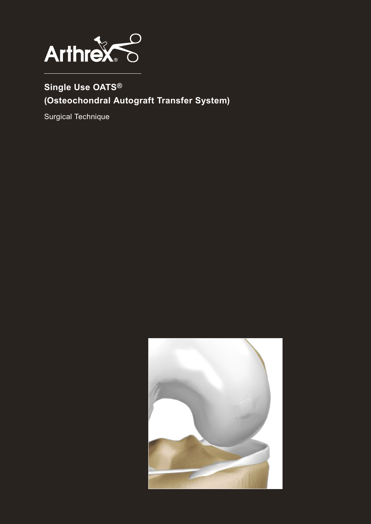

## **Single Use OATS® (Osteochondral Autograft Transfer System)**

Surgical Technique

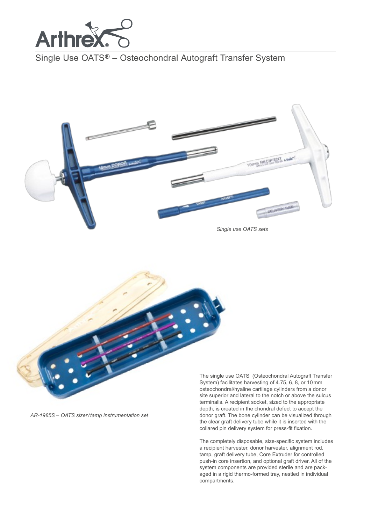

Single Use OATS® – Osteochondral Autograft Transfer System



*Single use OATS sets*



The single use OATS (Osteochondral Autograft Transfer System) facilitates harvesting of 4.75, 6, 8, or 10mm osteochondral/hyaline cartilage cylinders from a donor site superior and lateral to the notch or above the sulcus terminalis. A recipient socket, sized to the appropriate depth, is created in the chondral defect to accept the donor graft. The bone cylinder can be visualized through the clear graft delivery tube while it is inserted with the collared pin delivery system for press-fit fixation.

The completely disposable, size-specific system includes a recipient harvester, donor harvester, alignment rod, tamp, graft delivery tube, Core Extruder for controlled push-in core insertion, and optional graft driver. All of the system components are provided sterile and are packaged in a rigid thermo-formed tray, nestled in individual compartments.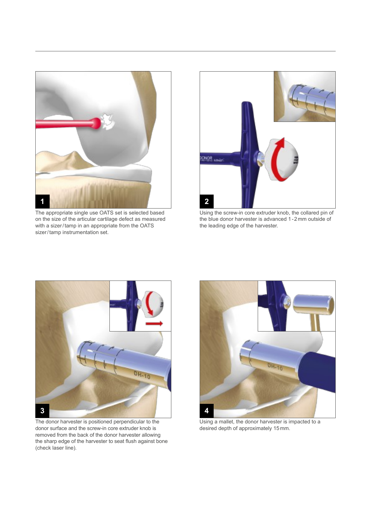

The appropriate single use OATS set is selected based on the size of the articular cartilage defect as measured with a sizer/tamp in an appropriate from the OATS sizer/tamp instrumentation set.



Using the screw-in core extruder knob, the collared pin of the blue donor harvester is advanced 1-2mm outside of the leading edge of the harvester.



The donor harvester is positioned perpendicular to the donor surface and the screw-in core extruder knob is removed from the back of the donor harvester allowing the sharp edge of the harvester to seat flush against bone (check laser line)*.*



Using a mallet, the donor harvester is impacted to a desired depth of approximately 15mm.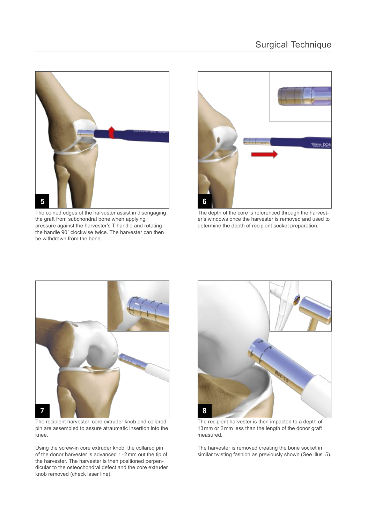

The coined edges of the harvester assist in disengaging the graft from subchondral bone when applying pressure against the harvester's T-handle and rotating the handle 90˚ clockwise twice. The harvester can then be withdrawn from the bone.



The depth of the core is referenced through the harvester's windows once the harvester is removed and used to determine the depth of recipient socket preparation.



The recipient harvester, core extruder knob and collared pin are assembled to assure atraumatic insertion into the knee.

Using the screw-in core extruder knob, the collared pin of the donor harvester is advanced 1-2mm out the tip of the harvester. The harvester is then positioned perpendicular to the osteochondral defect and the core extruder knob removed (check laser line).



The recipient harvester is then impacted to a depth of 13mm or 2mm less than the length of the donor graft measured.

The harvester is removed creating the bone socket in similar twisting fashion as previously shown (See Illus. 5).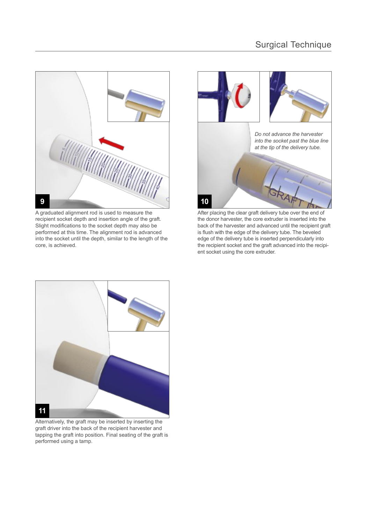

A graduated alignment rod is used to measure the recipient socket depth and insertion angle of the graft. Slight modifications to the socket depth may also be performed at this time. The alignment rod is advanced into the socket until the depth, similar to the length of the core, is achieved.



After placing the clear graft delivery tube over the end of the donor harvester, the core extruder is inserted into the back of the harvester and advanced until the recipient graft is flush with the edge of the delivery tube. The beveled edge of the delivery tube is inserted perpendicularly into the recipient socket and the graft advanced into the recipient socket using the core extruder.



Alternatively, the graft may be inserted by inserting the graft driver into the back of the recipient harvester and tapping the graft into position. Final seating of the graft is performed using a tamp.